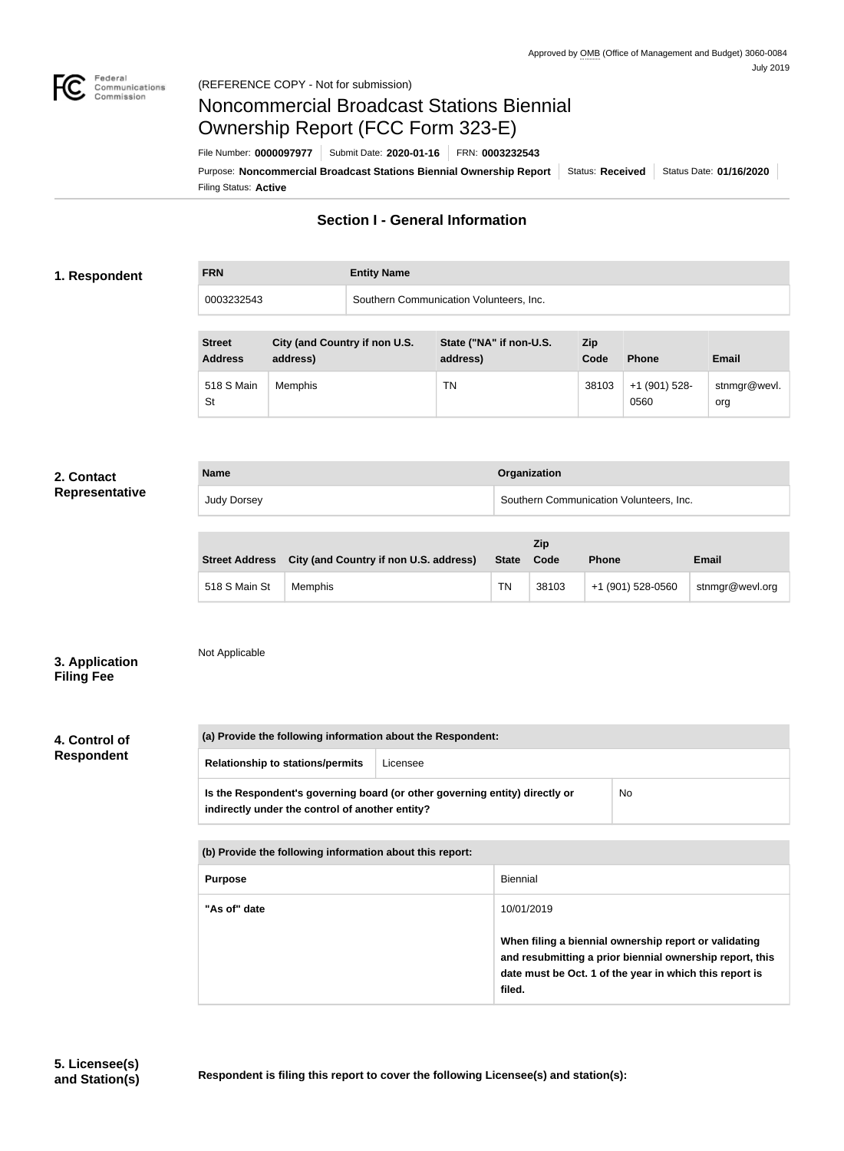

# Noncommercial Broadcast Stations Biennial Ownership Report (FCC Form 323-E)

Filing Status: **Active** Purpose: Noncommercial Broadcast Stations Biennial Ownership Report | Status: Received | Status Date: 01/16/2020 File Number: **0000097977** Submit Date: **2020-01-16** FRN: **0003232543**

# **Section I - General Information**

## **1. Respondent**

**FRN Entity Name**

0003232543 Southern Communication Volunteers, Inc.

| <b>Street</b><br><b>Address</b> | City (and Country if non U.S.<br>address) | State ("NA" if non-U.S.<br>address) | Zip<br>Code | <b>Phone</b>          | <b>Email</b>        |
|---------------------------------|-------------------------------------------|-------------------------------------|-------------|-----------------------|---------------------|
| 518 S Main<br>St                | Memphis                                   | ΤN                                  | 38103       | +1 (901) 528-<br>0560 | stnmgr@wevl.<br>org |

#### **2. Contact Representative**

| <b>Name</b> | Organization                            |
|-------------|-----------------------------------------|
| Judy Dorsey | Southern Communication Volunteers, Inc. |

|               | Street Address City (and Country if non U.S. address) | <b>State</b> | Zip<br>Code | <b>Phone</b>      | <b>Email</b>    |
|---------------|-------------------------------------------------------|--------------|-------------|-------------------|-----------------|
| 518 S Main St | <b>Memphis</b>                                        | <b>TN</b>    | 38103       | +1 (901) 528-0560 | stnmgr@wevl.org |

**3. Application Filing Fee**

Not Applicable

### **4. Control of Respondent**

| (a) Provide the following information about the Respondent:                                                                          |  |  |  |
|--------------------------------------------------------------------------------------------------------------------------------------|--|--|--|
| <b>Relationship to stations/permits</b><br>Licensee                                                                                  |  |  |  |
| Is the Respondent's governing board (or other governing entity) directly or<br>No<br>indirectly under the control of another entity? |  |  |  |

| (b) Provide the following information about this report: |                                                                                                                                                                                        |  |
|----------------------------------------------------------|----------------------------------------------------------------------------------------------------------------------------------------------------------------------------------------|--|
| <b>Purpose</b>                                           | Biennial                                                                                                                                                                               |  |
| "As of" date                                             | 10/01/2019                                                                                                                                                                             |  |
|                                                          | When filing a biennial ownership report or validating<br>and resubmitting a prior biennial ownership report, this<br>date must be Oct. 1 of the year in which this report is<br>filed. |  |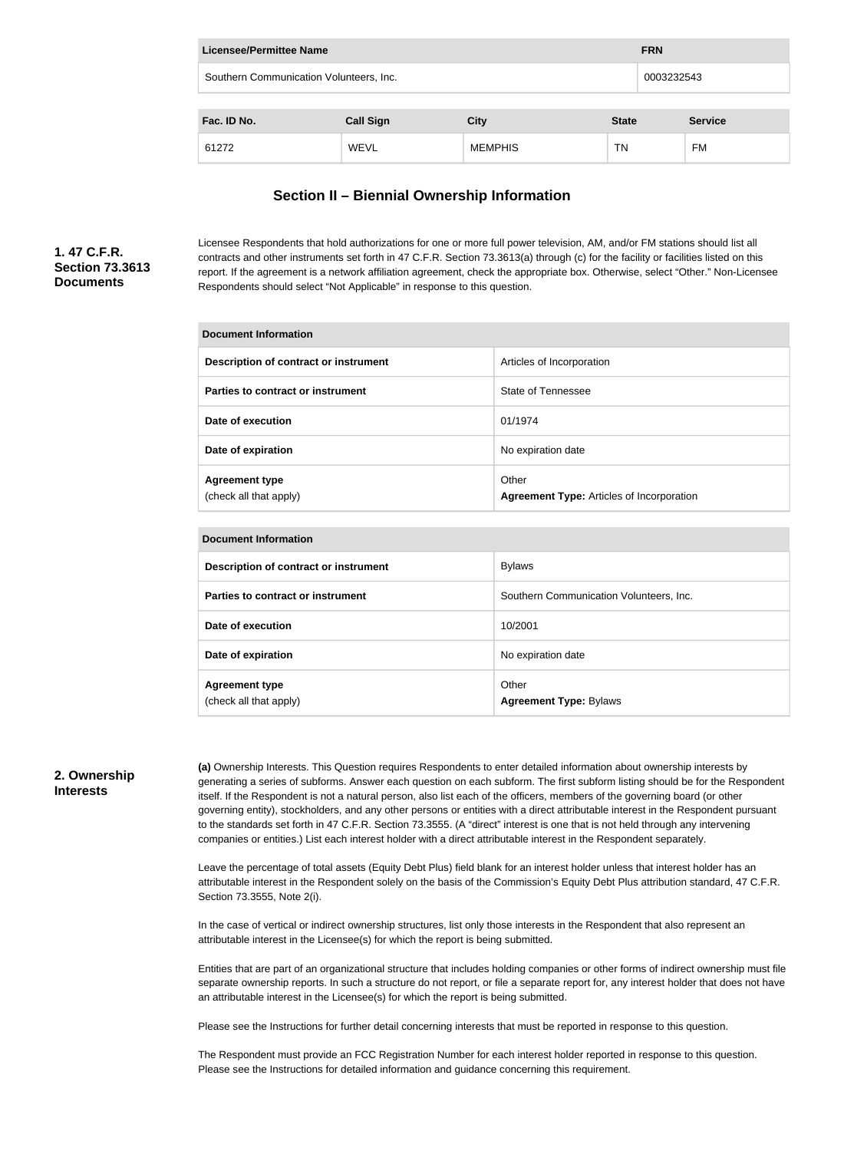| Licensee/Permittee Name<br><b>FRN</b>                 |                  |                |              |  |                |
|-------------------------------------------------------|------------------|----------------|--------------|--|----------------|
| Southern Communication Volunteers, Inc.<br>0003232543 |                  |                |              |  |                |
|                                                       |                  |                |              |  |                |
| Fac. ID No.                                           | <b>Call Sign</b> | <b>City</b>    | <b>State</b> |  | <b>Service</b> |
| 61272                                                 | <b>WEVL</b>      | <b>MEMPHIS</b> | TN           |  | FM             |

# **Section II – Biennial Ownership Information**

# **1. 47 C.F.R. Section 73.3613 Documents**

Licensee Respondents that hold authorizations for one or more full power television, AM, and/or FM stations should list all contracts and other instruments set forth in 47 C.F.R. Section 73.3613(a) through (c) for the facility or facilities listed on this report. If the agreement is a network affiliation agreement, check the appropriate box. Otherwise, select "Other." Non-Licensee Respondents should select "Not Applicable" in response to this question.

| Document Information                            |                                                           |  |
|-------------------------------------------------|-----------------------------------------------------------|--|
| Description of contract or instrument           | Articles of Incorporation                                 |  |
| Parties to contract or instrument               | State of Tennessee                                        |  |
| Date of execution                               | 01/1974                                                   |  |
| Date of expiration                              | No expiration date                                        |  |
| <b>Agreement type</b><br>(check all that apply) | Other<br><b>Agreement Type: Articles of Incorporation</b> |  |

| <b>Document Information</b>                     |                                         |  |
|-------------------------------------------------|-----------------------------------------|--|
| Description of contract or instrument           | <b>Bylaws</b>                           |  |
| Parties to contract or instrument               | Southern Communication Volunteers, Inc. |  |
| Date of execution                               | 10/2001                                 |  |
| Date of expiration                              | No expiration date                      |  |
| <b>Agreement type</b><br>(check all that apply) | Other<br><b>Agreement Type: Bylaws</b>  |  |

### **2. Ownership Interests**

**(a)** Ownership Interests. This Question requires Respondents to enter detailed information about ownership interests by generating a series of subforms. Answer each question on each subform. The first subform listing should be for the Respondent itself. If the Respondent is not a natural person, also list each of the officers, members of the governing board (or other governing entity), stockholders, and any other persons or entities with a direct attributable interest in the Respondent pursuant to the standards set forth in 47 C.F.R. Section 73.3555. (A "direct" interest is one that is not held through any intervening companies or entities.) List each interest holder with a direct attributable interest in the Respondent separately.

Leave the percentage of total assets (Equity Debt Plus) field blank for an interest holder unless that interest holder has an attributable interest in the Respondent solely on the basis of the Commission's Equity Debt Plus attribution standard, 47 C.F.R. Section 73.3555, Note 2(i).

In the case of vertical or indirect ownership structures, list only those interests in the Respondent that also represent an attributable interest in the Licensee(s) for which the report is being submitted.

Entities that are part of an organizational structure that includes holding companies or other forms of indirect ownership must file separate ownership reports. In such a structure do not report, or file a separate report for, any interest holder that does not have an attributable interest in the Licensee(s) for which the report is being submitted.

Please see the Instructions for further detail concerning interests that must be reported in response to this question.

The Respondent must provide an FCC Registration Number for each interest holder reported in response to this question. Please see the Instructions for detailed information and guidance concerning this requirement.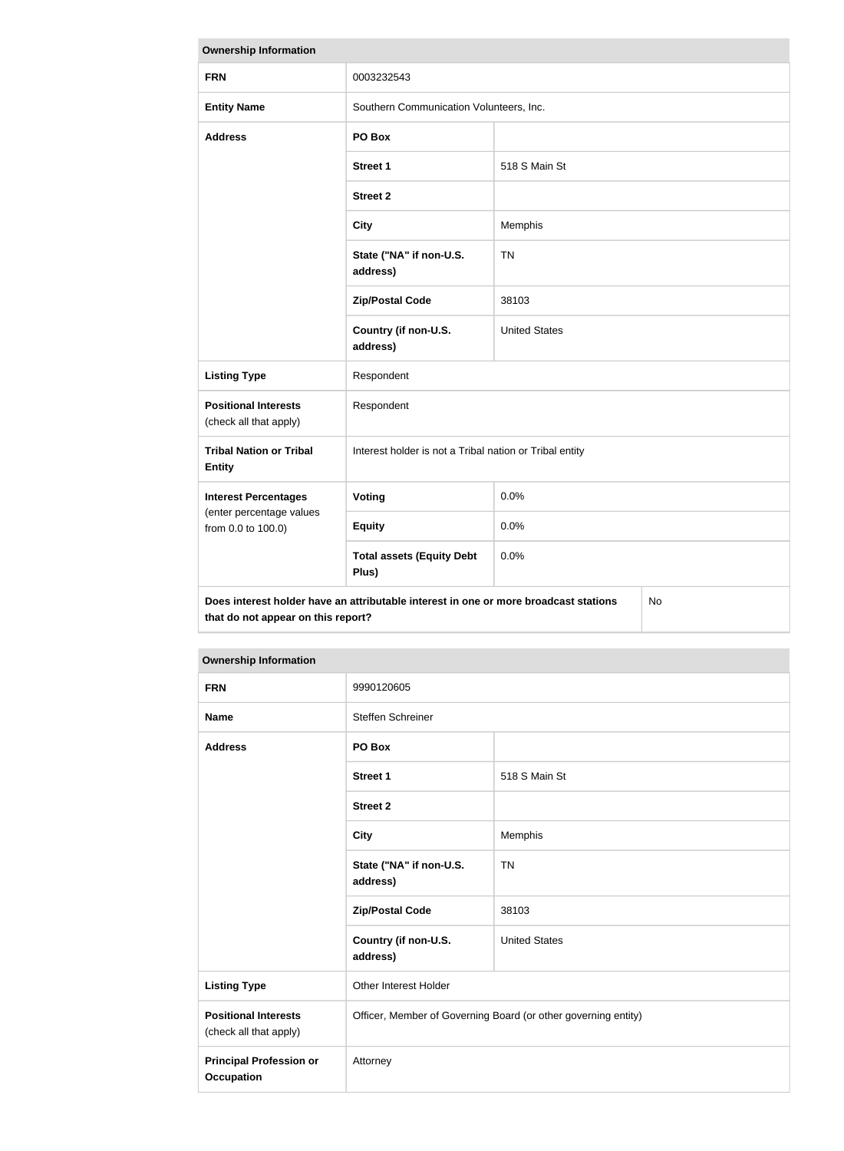| <b>Ownership Information</b>                                                                                                     |                                                         |                      |  |  |
|----------------------------------------------------------------------------------------------------------------------------------|---------------------------------------------------------|----------------------|--|--|
| <b>FRN</b>                                                                                                                       | 0003232543                                              |                      |  |  |
| <b>Entity Name</b>                                                                                                               | Southern Communication Volunteers, Inc.                 |                      |  |  |
| <b>Address</b>                                                                                                                   | PO Box                                                  |                      |  |  |
|                                                                                                                                  | <b>Street 1</b>                                         | 518 S Main St        |  |  |
|                                                                                                                                  | <b>Street 2</b>                                         |                      |  |  |
|                                                                                                                                  | <b>City</b>                                             | Memphis              |  |  |
|                                                                                                                                  | State ("NA" if non-U.S.<br>address)                     | <b>TN</b>            |  |  |
|                                                                                                                                  | <b>Zip/Postal Code</b>                                  | 38103                |  |  |
|                                                                                                                                  | Country (if non-U.S.<br>address)                        | <b>United States</b> |  |  |
| <b>Listing Type</b>                                                                                                              | Respondent                                              |                      |  |  |
| <b>Positional Interests</b><br>(check all that apply)                                                                            | Respondent                                              |                      |  |  |
| <b>Tribal Nation or Tribal</b><br><b>Entity</b>                                                                                  | Interest holder is not a Tribal nation or Tribal entity |                      |  |  |
| <b>Interest Percentages</b>                                                                                                      | Voting                                                  | 0.0%                 |  |  |
| (enter percentage values<br>from 0.0 to 100.0)                                                                                   | <b>Equity</b>                                           | 0.0%                 |  |  |
|                                                                                                                                  | <b>Total assets (Equity Debt</b><br>Plus)               | 0.0%                 |  |  |
| Does interest holder have an attributable interest in one or more broadcast stations<br>No<br>that do not appear on this report? |                                                         |                      |  |  |

| <b>FRN</b>                                            | 9990120605                                                     |                      |  |
|-------------------------------------------------------|----------------------------------------------------------------|----------------------|--|
| <b>Name</b>                                           | Steffen Schreiner                                              |                      |  |
| <b>Address</b>                                        | PO Box                                                         |                      |  |
|                                                       | <b>Street 1</b>                                                | 518 S Main St        |  |
|                                                       | <b>Street 2</b>                                                |                      |  |
|                                                       | <b>City</b>                                                    | Memphis              |  |
|                                                       | State ("NA" if non-U.S.<br>address)                            | <b>TN</b>            |  |
|                                                       | <b>Zip/Postal Code</b>                                         | 38103                |  |
|                                                       | Country (if non-U.S.<br>address)                               | <b>United States</b> |  |
| <b>Listing Type</b>                                   | Other Interest Holder                                          |                      |  |
| <b>Positional Interests</b><br>(check all that apply) | Officer, Member of Governing Board (or other governing entity) |                      |  |
| <b>Principal Profession or</b><br><b>Occupation</b>   | Attorney                                                       |                      |  |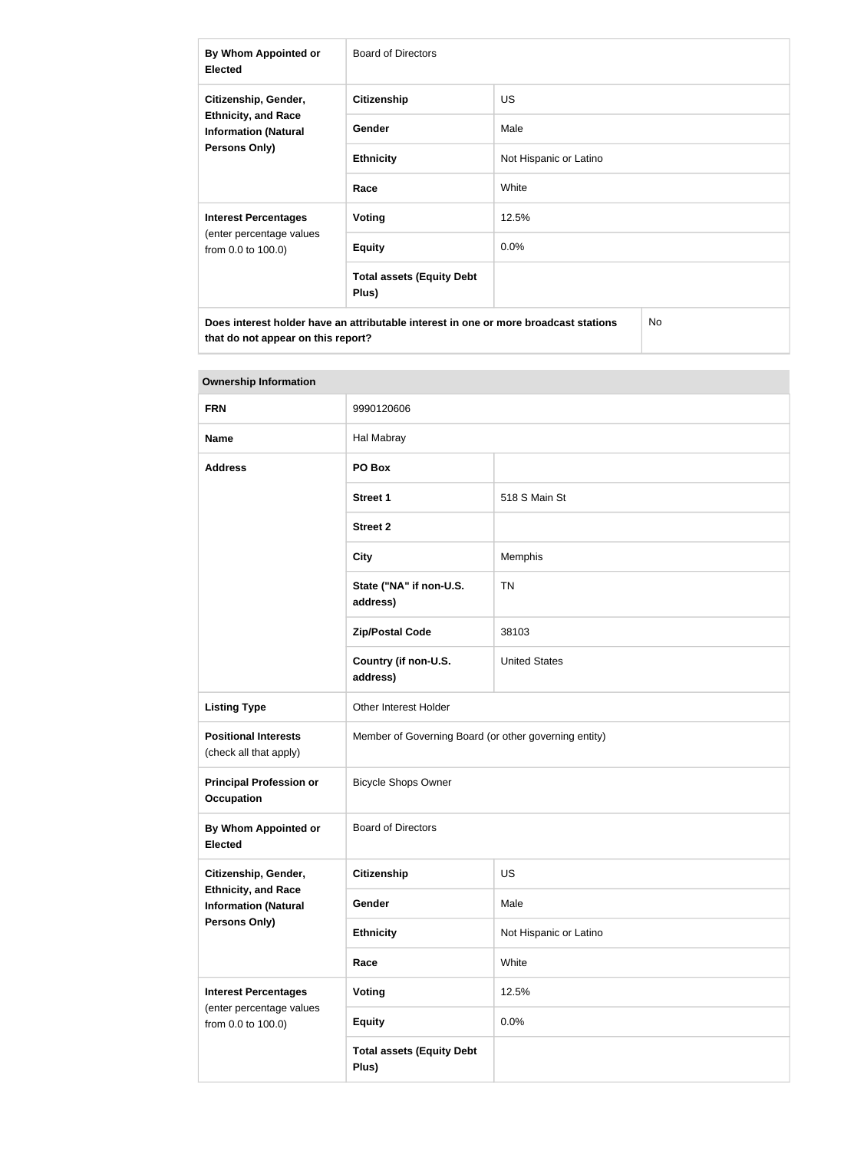| By Whom Appointed or<br><b>Elected</b>                                                                    | Board of Directors                        |                        |  |
|-----------------------------------------------------------------------------------------------------------|-------------------------------------------|------------------------|--|
| Citizenship, Gender,<br><b>Ethnicity, and Race</b><br><b>Information (Natural</b><br><b>Persons Only)</b> | <b>Citizenship</b>                        | <b>US</b>              |  |
|                                                                                                           | <b>Gender</b>                             | Male                   |  |
|                                                                                                           | <b>Ethnicity</b>                          | Not Hispanic or Latino |  |
|                                                                                                           | Race                                      | White                  |  |
| <b>Interest Percentages</b><br>(enter percentage values<br>from 0.0 to 100.0)                             | Voting                                    | 12.5%                  |  |
|                                                                                                           | <b>Equity</b>                             | 0.0%                   |  |
|                                                                                                           | <b>Total assets (Equity Debt</b><br>Plus) |                        |  |
| Does interest holder have an attributable interest in one or more broadcast stations<br>No                |                                           |                        |  |

| <b>Ownership Information</b>                                                      |                                                       |                        |  |
|-----------------------------------------------------------------------------------|-------------------------------------------------------|------------------------|--|
| <b>FRN</b>                                                                        | 9990120606                                            |                        |  |
| <b>Name</b>                                                                       | Hal Mabray                                            |                        |  |
| <b>Address</b>                                                                    | PO Box                                                |                        |  |
|                                                                                   | <b>Street 1</b>                                       | 518 S Main St          |  |
|                                                                                   | <b>Street 2</b>                                       |                        |  |
|                                                                                   | <b>City</b>                                           | Memphis                |  |
|                                                                                   | State ("NA" if non-U.S.<br>address)                   | <b>TN</b>              |  |
|                                                                                   | <b>Zip/Postal Code</b>                                | 38103                  |  |
|                                                                                   | Country (if non-U.S.<br>address)                      | <b>United States</b>   |  |
| <b>Listing Type</b>                                                               | Other Interest Holder                                 |                        |  |
| <b>Positional Interests</b><br>(check all that apply)                             | Member of Governing Board (or other governing entity) |                        |  |
| <b>Principal Profession or</b><br><b>Occupation</b>                               | <b>Bicycle Shops Owner</b>                            |                        |  |
| By Whom Appointed or<br><b>Elected</b>                                            | <b>Board of Directors</b>                             |                        |  |
| Citizenship, Gender,<br><b>Ethnicity, and Race</b><br><b>Information (Natural</b> | <b>Citizenship</b>                                    | US                     |  |
|                                                                                   | Gender                                                | Male                   |  |
| <b>Persons Only)</b>                                                              | <b>Ethnicity</b>                                      | Not Hispanic or Latino |  |
|                                                                                   | Race                                                  | White                  |  |
| <b>Interest Percentages</b>                                                       | Voting                                                | 12.5%                  |  |
| (enter percentage values<br>from 0.0 to 100.0)                                    | <b>Equity</b>                                         | 0.0%                   |  |
|                                                                                   | <b>Total assets (Equity Debt</b><br>Plus)             |                        |  |

**that do not appear on this report?**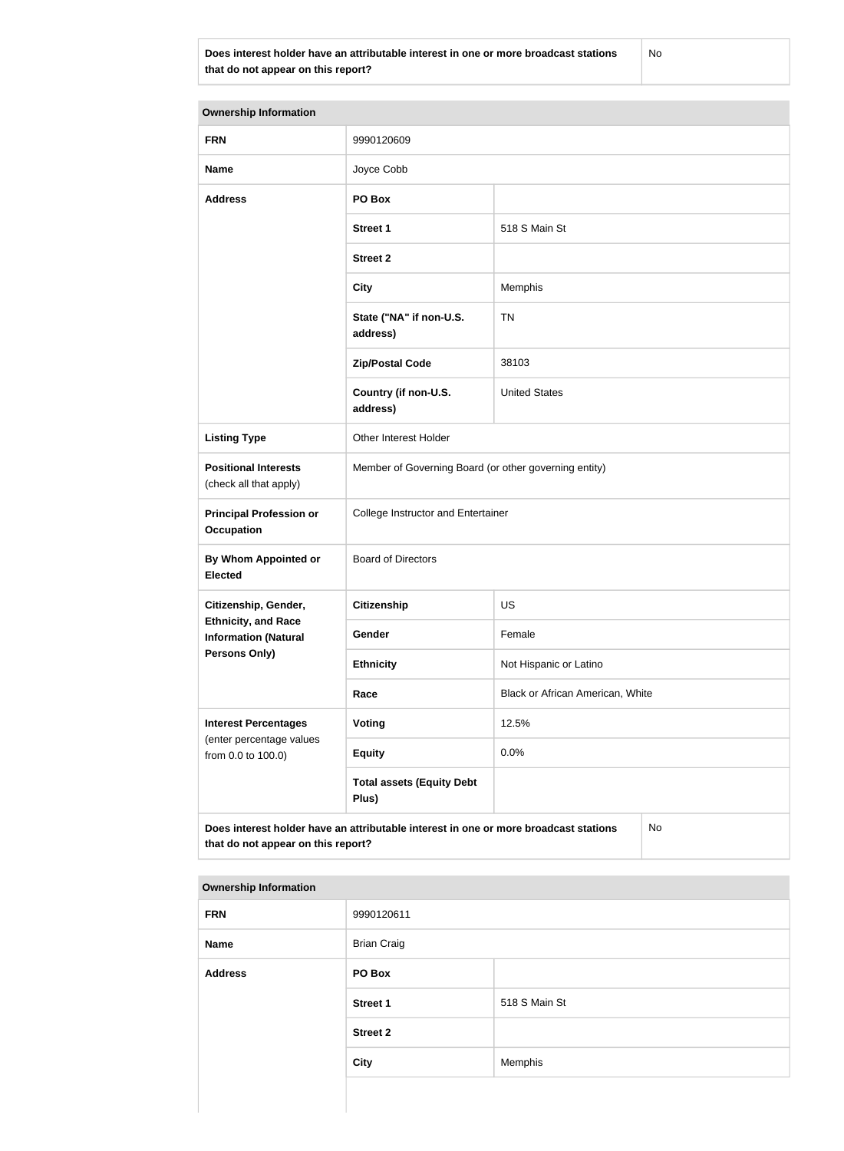**Does interest holder have an attributable interest in one or more broadcast stations that do not appear on this report?**

No

| <b>Ownership Information</b>                              |                                                                                      |                        |  |
|-----------------------------------------------------------|--------------------------------------------------------------------------------------|------------------------|--|
| <b>FRN</b>                                                | 9990120609                                                                           |                        |  |
| <b>Name</b>                                               | Joyce Cobb                                                                           |                        |  |
| <b>Address</b>                                            | PO Box                                                                               |                        |  |
|                                                           | <b>Street 1</b>                                                                      | 518 S Main St          |  |
|                                                           | <b>Street 2</b>                                                                      |                        |  |
|                                                           | <b>City</b>                                                                          | Memphis                |  |
|                                                           | State ("NA" if non-U.S.<br>address)                                                  | <b>TN</b>              |  |
|                                                           | <b>Zip/Postal Code</b>                                                               | 38103                  |  |
|                                                           | Country (if non-U.S.<br>address)                                                     | <b>United States</b>   |  |
| <b>Listing Type</b>                                       | Other Interest Holder                                                                |                        |  |
| <b>Positional Interests</b><br>(check all that apply)     | Member of Governing Board (or other governing entity)                                |                        |  |
| <b>Principal Profession or</b><br><b>Occupation</b>       | College Instructor and Entertainer                                                   |                        |  |
| <b>By Whom Appointed or</b><br>Elected                    | <b>Board of Directors</b>                                                            |                        |  |
| Citizenship, Gender,                                      | Citizenship<br>US                                                                    |                        |  |
| <b>Ethnicity, and Race</b><br><b>Information (Natural</b> | Gender                                                                               | Female                 |  |
| <b>Persons Only)</b>                                      | <b>Ethnicity</b>                                                                     | Not Hispanic or Latino |  |
|                                                           | Black or African American, White<br>Race                                             |                        |  |
| <b>Interest Percentages</b>                               | <b>Voting</b>                                                                        | 12.5%                  |  |
| (enter percentage values<br>from 0.0 to 100.0)            | <b>Equity</b>                                                                        | 0.0%                   |  |
|                                                           | <b>Total assets (Equity Debt</b><br>Plus)                                            |                        |  |
| that do not appear on this report?                        | Does interest holder have an attributable interest in one or more broadcast stations | No                     |  |

#### **Ownership Information**

| <b>FRN</b>     | 9990120611         |               |
|----------------|--------------------|---------------|
| Name           | <b>Brian Craig</b> |               |
| <b>Address</b> | PO Box             |               |
|                | <b>Street 1</b>    | 518 S Main St |
|                | <b>Street 2</b>    |               |
|                | <b>City</b>        | Memphis       |
|                |                    |               |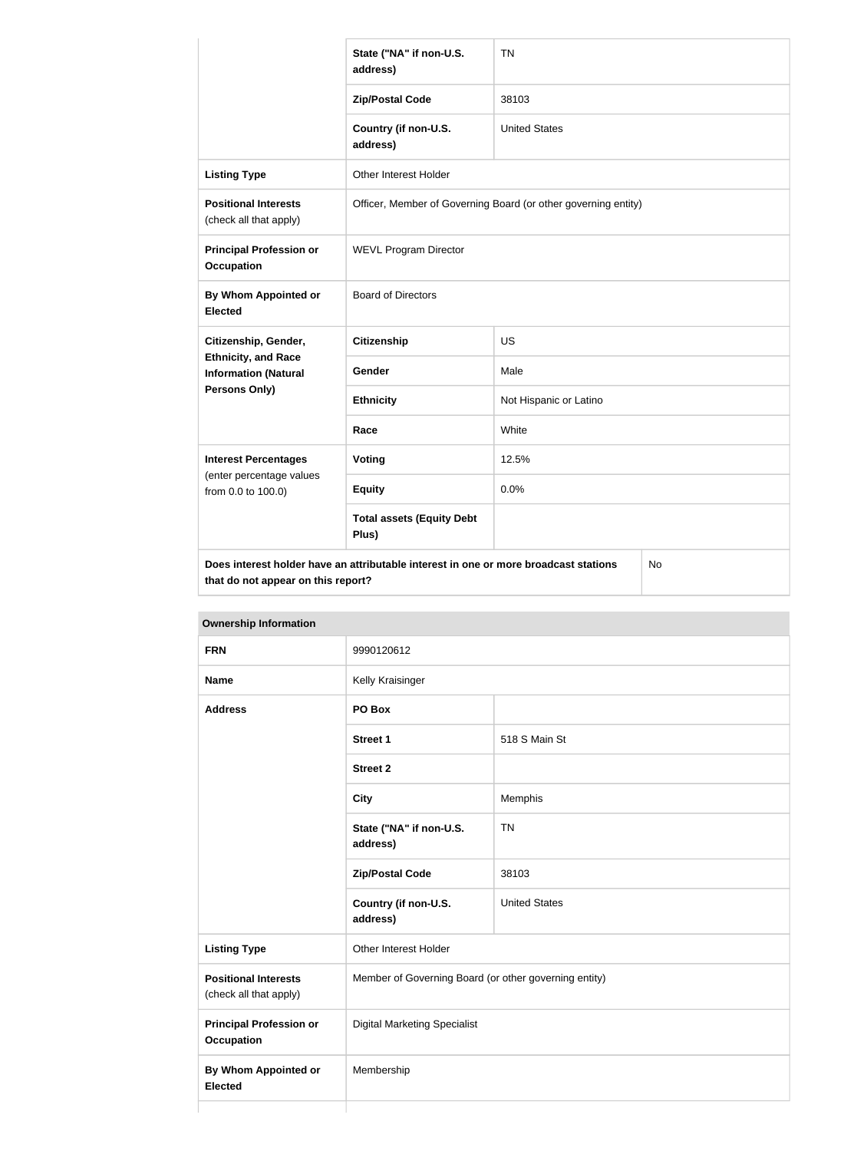|                                                           | State ("NA" if non-U.S.<br>address)                                                  | <b>TN</b>              |  |
|-----------------------------------------------------------|--------------------------------------------------------------------------------------|------------------------|--|
|                                                           | <b>Zip/Postal Code</b>                                                               | 38103                  |  |
|                                                           | Country (if non-U.S.<br>address)                                                     | <b>United States</b>   |  |
| <b>Listing Type</b>                                       | Other Interest Holder                                                                |                        |  |
| <b>Positional Interests</b><br>(check all that apply)     | Officer, Member of Governing Board (or other governing entity)                       |                        |  |
| <b>Principal Profession or</b><br><b>Occupation</b>       | <b>WEVL Program Director</b>                                                         |                        |  |
| By Whom Appointed or<br><b>Elected</b>                    | <b>Board of Directors</b>                                                            |                        |  |
| Citizenship, Gender,                                      | <b>Citizenship</b>                                                                   | <b>US</b>              |  |
| <b>Ethnicity, and Race</b><br><b>Information (Natural</b> | Gender                                                                               | Male                   |  |
| <b>Persons Only)</b>                                      | <b>Ethnicity</b>                                                                     | Not Hispanic or Latino |  |
|                                                           | Race                                                                                 | White                  |  |
| <b>Interest Percentages</b>                               | Voting                                                                               | 12.5%                  |  |
| (enter percentage values<br>from 0.0 to 100.0)            | <b>Equity</b>                                                                        | 0.0%                   |  |
|                                                           | <b>Total assets (Equity Debt</b><br>Plus)                                            |                        |  |
| that do not appear on this report?                        | Does interest holder have an attributable interest in one or more broadcast stations | No.                    |  |

**Ownership Information FRN** 9990120612 **Name** Kelly Kraisinger **Address PO Box Street 1** 518 S Main St **Street 2 City** Memphis **State ("NA" if non-U.S. address)** TN **Zip/Postal Code** 38103 **Country (if non-U.S. address)** United States **Listing Type Communist Communist Property** Other Interest Holder **Positional Interests** (check all that apply) Member of Governing Board (or other governing entity) **Principal Profession or Occupation** Digital Marketing Specialist **By Whom Appointed or Elected** Membership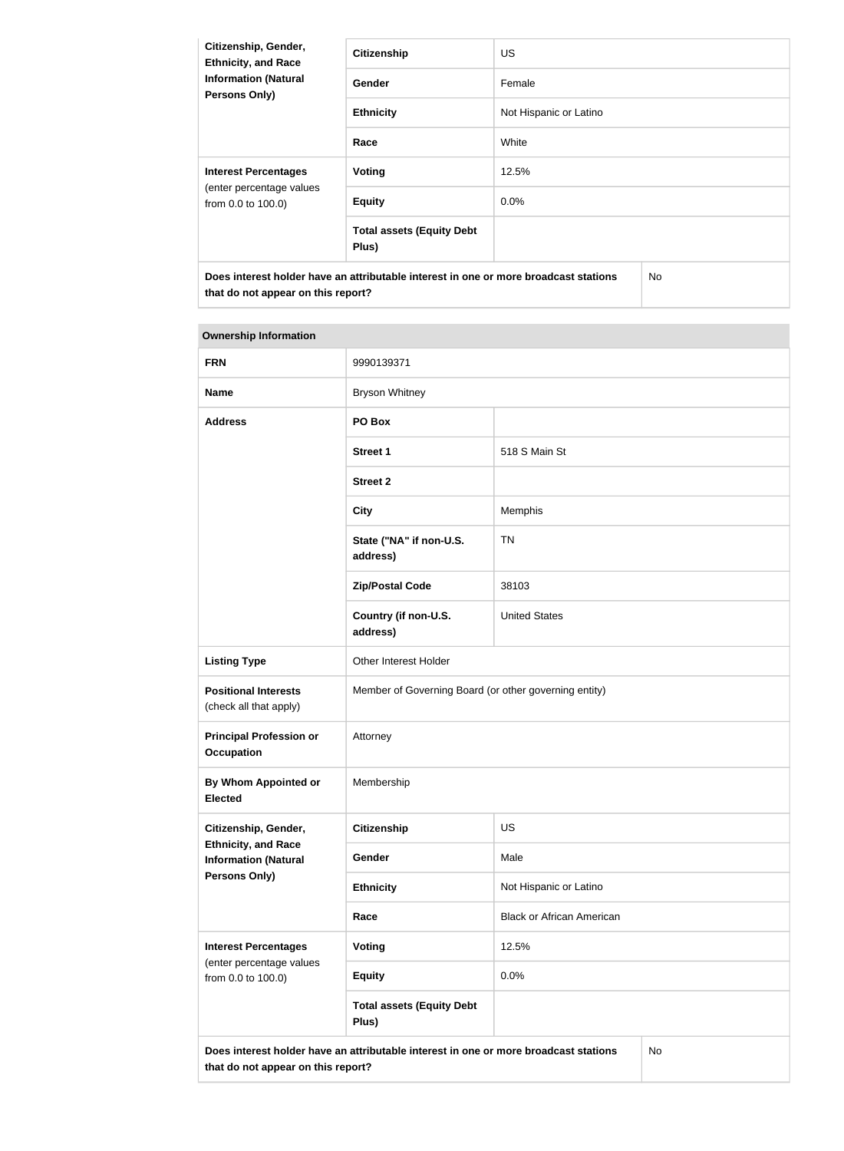| Citizenship, Gender,<br><b>Ethnicity, and Race</b><br><b>Information (Natural</b><br><b>Persons Only)</b> | <b>Citizenship</b>                        | <b>US</b>              |     |  |
|-----------------------------------------------------------------------------------------------------------|-------------------------------------------|------------------------|-----|--|
|                                                                                                           | Gender                                    | Female                 |     |  |
|                                                                                                           | <b>Ethnicity</b>                          | Not Hispanic or Latino |     |  |
|                                                                                                           | Race                                      | White                  |     |  |
| <b>Interest Percentages</b><br>(enter percentage values<br>from 0.0 to 100.0)                             | <b>Voting</b>                             | 12.5%                  |     |  |
|                                                                                                           | <b>Equity</b>                             | $0.0\%$                |     |  |
|                                                                                                           | <b>Total assets (Equity Debt</b><br>Plus) |                        |     |  |
| Does interest holder have an attributable interest in one or more broadcast stations                      |                                           |                        | No. |  |

# **Ownership Information**

**that do not appear on this report?**

| <b>FRN</b>                                                | 9990139371                                                                           |                                  |    |
|-----------------------------------------------------------|--------------------------------------------------------------------------------------|----------------------------------|----|
| <b>Name</b>                                               | <b>Bryson Whitney</b>                                                                |                                  |    |
| <b>Address</b>                                            | PO Box                                                                               |                                  |    |
|                                                           | <b>Street 1</b>                                                                      | 518 S Main St                    |    |
|                                                           | <b>Street 2</b>                                                                      |                                  |    |
|                                                           | <b>City</b>                                                                          | Memphis                          |    |
|                                                           | State ("NA" if non-U.S.<br>address)                                                  | <b>TN</b>                        |    |
|                                                           | <b>Zip/Postal Code</b>                                                               | 38103                            |    |
|                                                           | Country (if non-U.S.<br>address)                                                     | <b>United States</b>             |    |
| <b>Listing Type</b>                                       | Other Interest Holder                                                                |                                  |    |
| <b>Positional Interests</b><br>(check all that apply)     | Member of Governing Board (or other governing entity)                                |                                  |    |
| <b>Principal Profession or</b><br><b>Occupation</b>       | Attorney                                                                             |                                  |    |
| <b>By Whom Appointed or</b><br><b>Elected</b>             | Membership                                                                           |                                  |    |
| Citizenship, Gender,                                      | <b>Citizenship</b><br><b>US</b>                                                      |                                  |    |
| <b>Ethnicity, and Race</b><br><b>Information (Natural</b> | Gender                                                                               | Male                             |    |
| <b>Persons Only)</b>                                      | <b>Ethnicity</b>                                                                     | Not Hispanic or Latino           |    |
|                                                           | Race                                                                                 | <b>Black or African American</b> |    |
| <b>Interest Percentages</b>                               | <b>Voting</b>                                                                        | 12.5%                            |    |
| (enter percentage values<br>from 0.0 to 100.0)            | <b>Equity</b>                                                                        | 0.0%                             |    |
|                                                           | <b>Total assets (Equity Debt</b><br>Plus)                                            |                                  |    |
| that do not appear on this report?                        | Does interest holder have an attributable interest in one or more broadcast stations |                                  | No |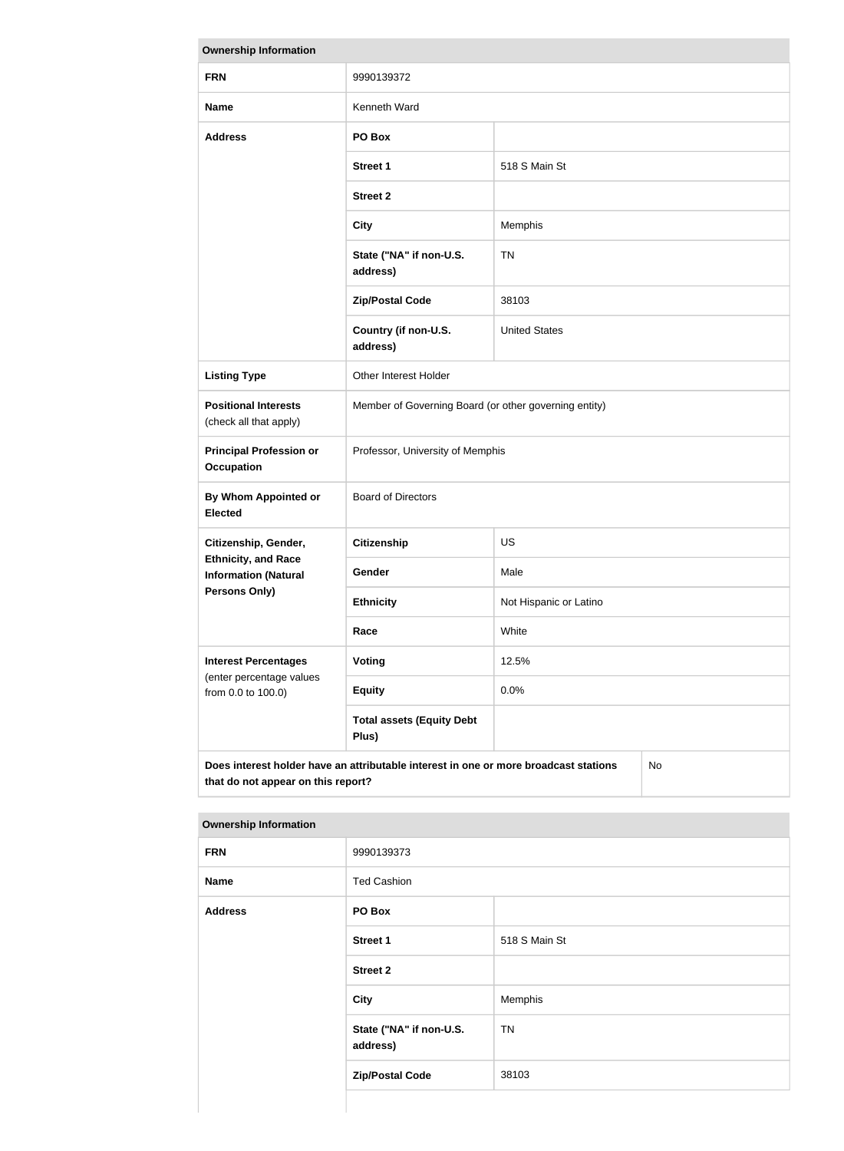| <b>Ownership Information</b>                                                                                                            |                                                       |                        |  |
|-----------------------------------------------------------------------------------------------------------------------------------------|-------------------------------------------------------|------------------------|--|
| <b>FRN</b>                                                                                                                              | 9990139372                                            |                        |  |
| <b>Name</b>                                                                                                                             | Kenneth Ward                                          |                        |  |
| <b>Address</b>                                                                                                                          | PO Box                                                |                        |  |
|                                                                                                                                         | <b>Street 1</b>                                       | 518 S Main St          |  |
|                                                                                                                                         | <b>Street 2</b>                                       |                        |  |
|                                                                                                                                         | <b>City</b>                                           | Memphis                |  |
|                                                                                                                                         | State ("NA" if non-U.S.<br>address)                   | <b>TN</b>              |  |
|                                                                                                                                         | <b>Zip/Postal Code</b>                                | 38103                  |  |
|                                                                                                                                         | Country (if non-U.S.<br>address)                      | <b>United States</b>   |  |
| <b>Listing Type</b>                                                                                                                     | Other Interest Holder                                 |                        |  |
| <b>Positional Interests</b><br>(check all that apply)                                                                                   | Member of Governing Board (or other governing entity) |                        |  |
| <b>Principal Profession or</b><br><b>Occupation</b>                                                                                     | Professor, University of Memphis                      |                        |  |
| <b>By Whom Appointed or</b><br><b>Elected</b>                                                                                           | <b>Board of Directors</b>                             |                        |  |
| Citizenship, Gender,                                                                                                                    | <b>Citizenship</b>                                    | <b>US</b>              |  |
| <b>Ethnicity, and Race</b><br><b>Information (Natural</b>                                                                               | <b>Gender</b>                                         | Male                   |  |
| Persons Only)                                                                                                                           | <b>Ethnicity</b>                                      | Not Hispanic or Latino |  |
|                                                                                                                                         | Race                                                  | White                  |  |
| <b>Interest Percentages</b>                                                                                                             | Voting                                                | 12.5%                  |  |
| (enter percentage values<br>from 0.0 to 100.0)                                                                                          | <b>Equity</b>                                         | 0.0%                   |  |
|                                                                                                                                         | <b>Total assets (Equity Debt</b><br>Plus)             |                        |  |
| Does interest holder have an attributable interest in one or more broadcast stations<br><b>No</b><br>that do not appear on this report? |                                                       |                        |  |

| <b>FRN</b>     | 9990139373                          |               |  |
|----------------|-------------------------------------|---------------|--|
| <b>Name</b>    | <b>Ted Cashion</b>                  |               |  |
| <b>Address</b> | PO Box                              |               |  |
|                | <b>Street 1</b>                     | 518 S Main St |  |
|                | <b>Street 2</b>                     |               |  |
|                | <b>City</b>                         | Memphis       |  |
|                | State ("NA" if non-U.S.<br>address) | <b>TN</b>     |  |
|                | <b>Zip/Postal Code</b>              | 38103         |  |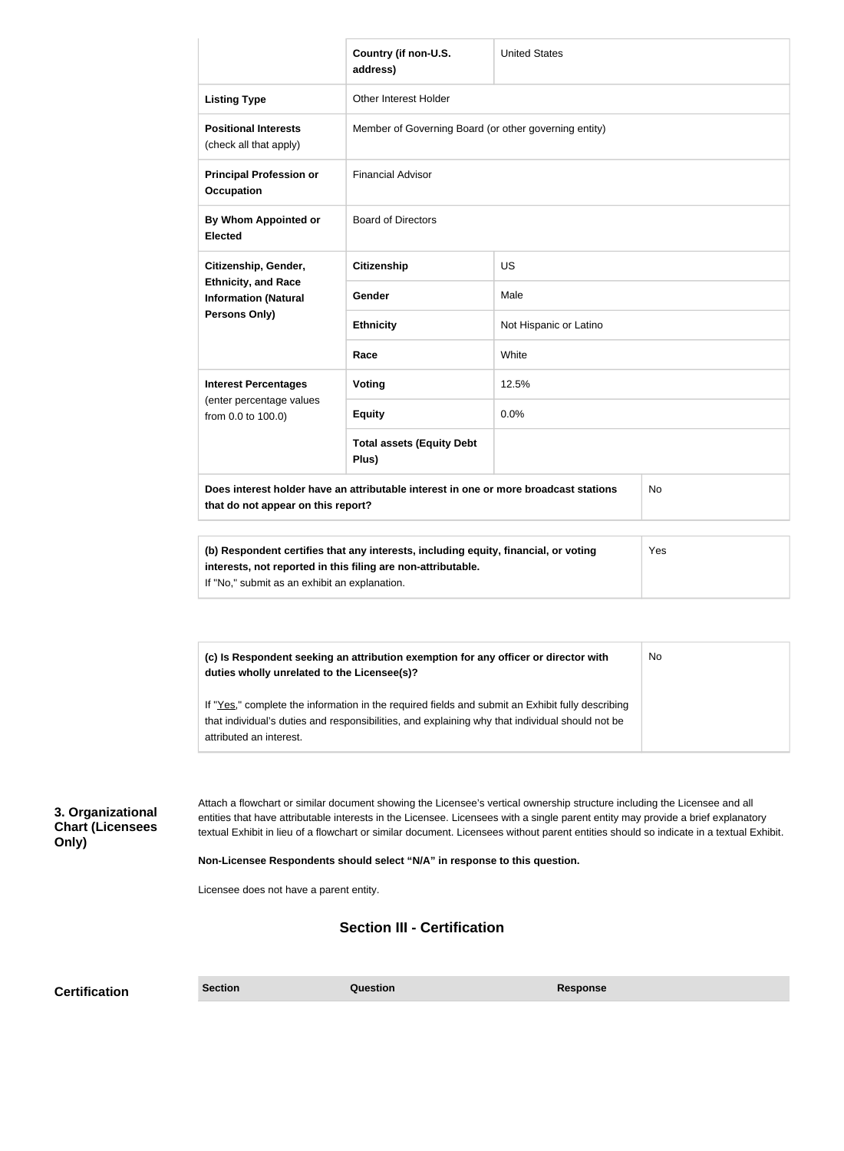|                                                       |                                                                                                               | Country (if non-U.S.<br>address)                                                                                                                                                                                                                                                                                                                                                                        | <b>United States</b>   |           |
|-------------------------------------------------------|---------------------------------------------------------------------------------------------------------------|---------------------------------------------------------------------------------------------------------------------------------------------------------------------------------------------------------------------------------------------------------------------------------------------------------------------------------------------------------------------------------------------------------|------------------------|-----------|
|                                                       | <b>Listing Type</b>                                                                                           | Other Interest Holder                                                                                                                                                                                                                                                                                                                                                                                   |                        |           |
|                                                       | <b>Positional Interests</b><br>(check all that apply)                                                         | Member of Governing Board (or other governing entity)                                                                                                                                                                                                                                                                                                                                                   |                        |           |
|                                                       | <b>Principal Profession or</b><br><b>Occupation</b>                                                           | <b>Financial Advisor</b>                                                                                                                                                                                                                                                                                                                                                                                |                        |           |
|                                                       | <b>By Whom Appointed or</b><br><b>Elected</b>                                                                 | <b>Board of Directors</b>                                                                                                                                                                                                                                                                                                                                                                               |                        |           |
|                                                       | Citizenship, Gender,                                                                                          | <b>Citizenship</b>                                                                                                                                                                                                                                                                                                                                                                                      | <b>US</b>              |           |
|                                                       | <b>Ethnicity, and Race</b><br><b>Information (Natural</b>                                                     | Gender                                                                                                                                                                                                                                                                                                                                                                                                  | Male                   |           |
|                                                       | Persons Only)                                                                                                 | <b>Ethnicity</b>                                                                                                                                                                                                                                                                                                                                                                                        | Not Hispanic or Latino |           |
|                                                       |                                                                                                               | Race                                                                                                                                                                                                                                                                                                                                                                                                    | White                  |           |
|                                                       | <b>Interest Percentages</b>                                                                                   | <b>Voting</b>                                                                                                                                                                                                                                                                                                                                                                                           | 12.5%                  |           |
|                                                       | (enter percentage values<br>from 0.0 to 100.0)                                                                | <b>Equity</b>                                                                                                                                                                                                                                                                                                                                                                                           | 0.0%                   |           |
|                                                       |                                                                                                               | <b>Total assets (Equity Debt</b><br>Plus)                                                                                                                                                                                                                                                                                                                                                               |                        |           |
|                                                       | that do not appear on this report?                                                                            | Does interest holder have an attributable interest in one or more broadcast stations                                                                                                                                                                                                                                                                                                                    |                        | No        |
|                                                       | interests, not reported in this filing are non-attributable.<br>If "No," submit as an exhibit an explanation. | (b) Respondent certifies that any interests, including equity, financial, or voting                                                                                                                                                                                                                                                                                                                     |                        | Yes       |
|                                                       |                                                                                                               |                                                                                                                                                                                                                                                                                                                                                                                                         |                        |           |
|                                                       | duties wholly unrelated to the Licensee(s)?                                                                   | (c) Is Respondent seeking an attribution exemption for any officer or director with                                                                                                                                                                                                                                                                                                                     |                        | <b>No</b> |
|                                                       | attributed an interest.                                                                                       | If "Yes," complete the information in the required fields and submit an Exhibit fully describing<br>that individual's duties and responsibilities, and explaining why that individual should not be                                                                                                                                                                                                     |                        |           |
| 3. Organizational<br><b>Chart (Licensees</b><br>Only) |                                                                                                               | Attach a flowchart or similar document showing the Licensee's vertical ownership structure including the Licensee and all<br>entities that have attributable interests in the Licensee. Licensees with a single parent entity may provide a brief explanatory<br>textual Exhibit in lieu of a flowchart or similar document. Licensees without parent entities should so indicate in a textual Exhibit. |                        |           |
|                                                       | Non-Licensee Respondents should select "N/A" in response to this question.                                    |                                                                                                                                                                                                                                                                                                                                                                                                         |                        |           |
|                                                       | Licensee does not have a parent entity.                                                                       |                                                                                                                                                                                                                                                                                                                                                                                                         |                        |           |
|                                                       |                                                                                                               | <b>Section III - Certification</b>                                                                                                                                                                                                                                                                                                                                                                      |                        |           |
| <b>Certification</b>                                  | <b>Section</b>                                                                                                | <b>Question</b>                                                                                                                                                                                                                                                                                                                                                                                         | <b>Response</b>        |           |